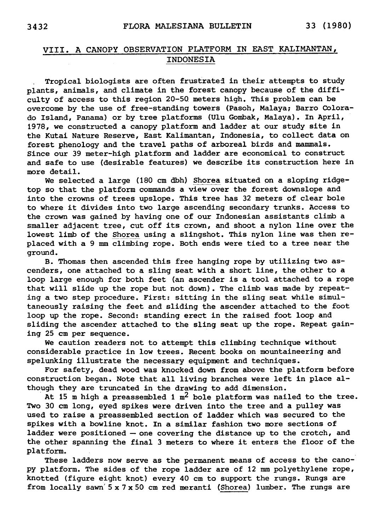## VIII. <sup>A</sup> canopy observation platform in East Kalimantan, Indonesia

Tropical biologists are often frustrated in their attempts to study plants, animals, and climate in the forest canopy because of the difficulty of access to this region 20-50 meters high. This problem can be overcome by the use of free-standing towers (Pasoh, Malaya; Barro Colorado Island, Panama) or by tree platforms (Ulu Gombak, Malaya). In April, 1978, we constructed <sup>a</sup> canopy platform and ladder at our study site in the Kutai Nature Reserve, East Kalimantan, Indonesia, to collect data on forest phenology and the travel paths of arboreal birds and mammals. Since our <sup>39</sup> meter-high platform and ladder are economical to construct and safe to use (desirable features) we describe its construction here in more detail.

We selected <sup>a</sup> large (180 cm dbh) Shorea situated on <sup>a</sup> sloping ridgetop so that the platform commands <sup>a</sup> view over the forest downslope and into the crowns of trees upslope. This tree has <sup>32</sup> meters of clear bole to where it divides into two large ascending secondary trunks. Access to the crown was gained by having one of our Indonesian assistants climb <sup>a</sup> smaller adjacent tree, cut off its crown, and shoot <sup>a</sup> nylon line over the lowest limb of the Shorea using <sup>a</sup> slingshot. This nylon line was then replaced with <sup>a</sup> <sup>9</sup> mm climbing rope. Both ends were tied to <sup>a</sup> tree near the ground.

B. Thomas then ascended this free hanging rope by utilizing two ascenders, one attached to <sup>a</sup> sling seat with <sup>a</sup> short line, the other to <sup>a</sup> loop large enough for both feet (an ascender is <sup>a</sup> tool attached to <sup>a</sup> rope that will slide up the rope but not down). The climb was made by repeating <sup>a</sup> two step procedure. First: sitting in the sling seat while simultaneously raising the feet and sliding the ascender attached to the foot loop up the rope. Second: standing erect in the raised foot loop and sliding the ascender attached to the sling seat up the rope. Repeat gaining <sup>25</sup> cm per sequence.

We caution readers not to attempt this climbing technique without considerable practice in low trees. Recent books on mountaineering and spelunking illustrate the necessary equipment and techniques.

For safety, dead wood was knocked down from above the platform before construction began. Note that all living branches were left in place although they are truncated in the drawing to add dimension.

At 15 m high a preassembled 1  $m^2$  bole platform was nailed to the tree. Two <sup>30</sup> cm long, eyed spikes were driven into the tree and <sup>a</sup> pulley was used to raise <sup>a</sup> preassembled section of ladder which was secured to the spikes with <sup>a</sup> bowline knot. In <sup>a</sup> similar fashion two more sections of ladder were positioned — one covering the distance up to the crotch, and the other spanning the final <sup>3</sup> meters to where it enters the floor of the platform.

These ladders now serve as the permanent means of access to the canopy platform. The sides of the rope ladder are of <sup>12</sup> mm polyethylene rope, knotted (figure eight knot) every <sup>40</sup> cm to support the rungs. Rungs are from locally sawn  $5 \times 7 \times 50$  cm red meranti (Shorea) lumber. The rungs are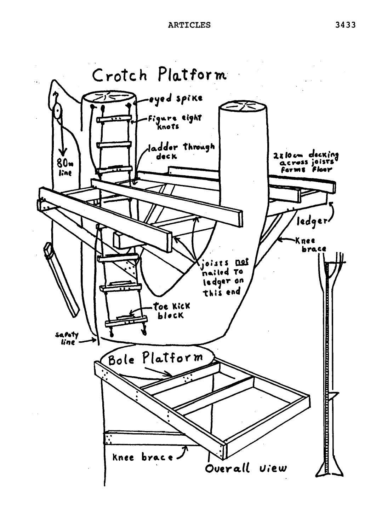